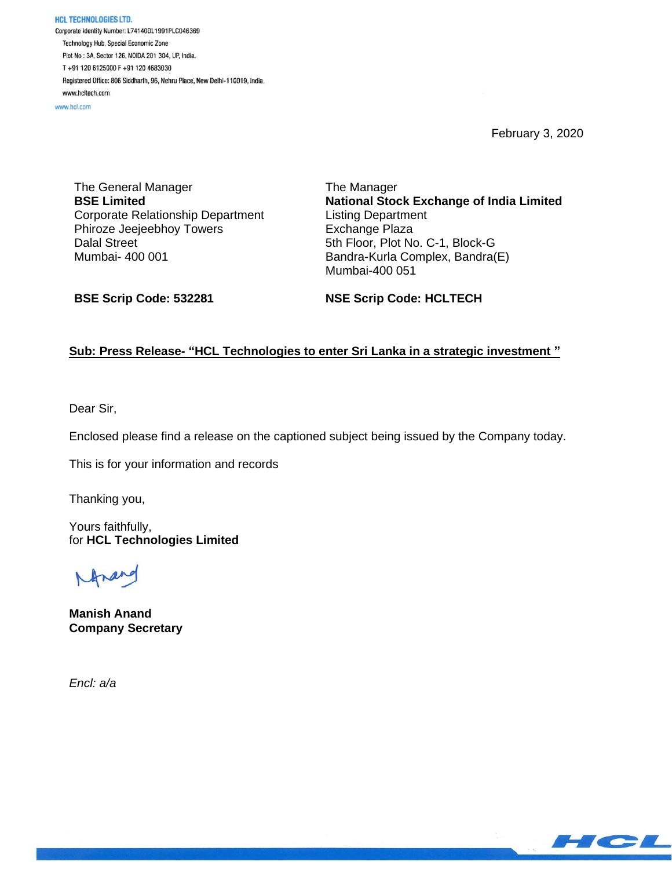HCL TECHNOLOGIES LTD. Corporate Identity Number: L74140DL1991PLC046369 Technology Hub, Special Economic Zone Plot No: 3A, Sector 126, NOIDA 201 304, UP, India. T+91 120 6125000 F+91 120 4683030 Registered Office: 806 Siddharth, 96, Nehru Place, New Delhi-110019, India. www.hcltech.com

www.hcl.com

February 3, 2020

The General Manager **BSE Limited** Corporate Relationship Department Phiroze Jeejeebhoy Towers Dalal Street Mumbai- 400 001

The Manager **National Stock Exchange of India Limited** Listing Department Exchange Plaza 5th Floor, Plot No. C-1, Block-G Bandra-Kurla Complex, Bandra(E) Mumbai-400 051

**BSE Scrip Code: 532281**

**NSE Scrip Code: HCLTECH**

## **Sub: Press Release- "HCL Technologies to enter Sri Lanka in a strategic investment "**

Dear Sir,

Enclosed please find a release on the captioned subject being issued by the Company today.

This is for your information and records

Thanking you,

Yours faithfully, for **HCL Technologies Limited**

**Manish Anand Company Secretary**

*Encl: a/a*

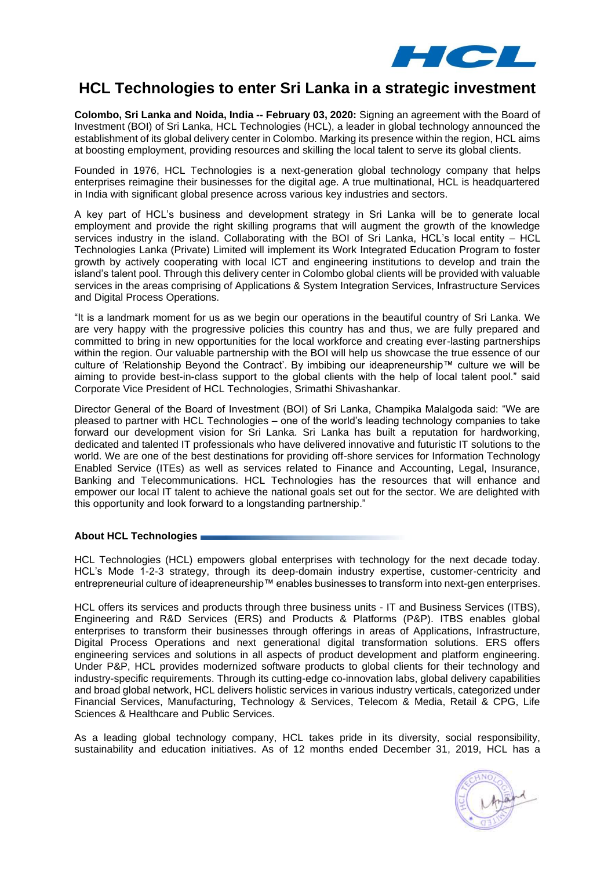

# **HCL Technologies to enter Sri Lanka in a strategic investment**

**Colombo, Sri Lanka and Noida, India -- February 03, 2020:** Signing an agreement with the Board of Investment (BOI) of Sri Lanka, HCL Technologies (HCL), a leader in global technology announced the establishment of its global delivery center in Colombo. Marking its presence within the region, HCL aims at boosting employment, providing resources and skilling the local talent to serve its global clients.

Founded in 1976, HCL Technologies is a next-generation global technology company that helps enterprises reimagine their businesses for the digital age. A true multinational, HCL is headquartered in India with significant global presence across various key industries and sectors.

A key part of HCL's business and development strategy in Sri Lanka will be to generate local employment and provide the right skilling programs that will augment the growth of the knowledge services industry in the island. Collaborating with the BOI of Sri Lanka, HCL's local entity – HCL Technologies Lanka (Private) Limited will implement its Work Integrated Education Program to foster growth by actively cooperating with local ICT and engineering institutions to develop and train the island's talent pool. Through this delivery center in Colombo global clients will be provided with valuable services in the areas comprising of Applications & System Integration Services, Infrastructure Services and Digital Process Operations.

"It is a landmark moment for us as we begin our operations in the beautiful country of Sri Lanka. We are very happy with the progressive policies this country has and thus, we are fully prepared and committed to bring in new opportunities for the local workforce and creating ever-lasting partnerships within the region. Our valuable partnership with the BOI will help us showcase the true essence of our culture of 'Relationship Beyond the Contract'. By imbibing our ideapreneurship™ culture we will be aiming to provide best-in-class support to the global clients with the help of local talent pool." said Corporate Vice President of HCL Technologies, Srimathi Shivashankar.

Director General of the Board of Investment (BOI) of Sri Lanka, Champika Malalgoda said: "We are pleased to partner with HCL Technologies – one of the world's leading technology companies to take forward our development vision for Sri Lanka. Sri Lanka has built a reputation for hardworking, dedicated and talented IT professionals who have delivered innovative and futuristic IT solutions to the world. We are one of the best destinations for providing off-shore services for Information Technology Enabled Service (ITEs) as well as services related to Finance and Accounting, Legal, Insurance, Banking and Telecommunications. HCL Technologies has the resources that will enhance and empower our local IT talent to achieve the national goals set out for the sector. We are delighted with this opportunity and look forward to a longstanding partnership."

### **About HCL Technologies**

HCL Technologies (HCL) empowers global enterprises with technology for the next decade today. HCL's Mode 1-2-3 strategy, through its deep-domain industry expertise, customer-centricity and entrepreneurial culture of ideapreneurship™ enables businesses to transform into next-gen enterprises.

HCL offers its services and products through three business units - IT and Business Services (ITBS), Engineering and R&D Services (ERS) and Products & Platforms (P&P). ITBS enables global enterprises to transform their businesses through offerings in areas of Applications, Infrastructure, Digital Process Operations and next generational digital transformation solutions. ERS offers engineering services and solutions in all aspects of product development and platform engineering. Under P&P, HCL provides modernized software products to global clients for their technology and industry-specific requirements. Through its cutting-edge co-innovation labs, global delivery capabilities and broad global network, HCL delivers holistic services in various industry verticals, categorized under Financial Services, Manufacturing, Technology & Services, Telecom & Media, Retail & CPG, Life Sciences & Healthcare and Public Services.

As a leading global technology company, HCL takes pride in its diversity, social responsibility, sustainability and education initiatives. As of 12 months ended December 31, 2019, HCL has a